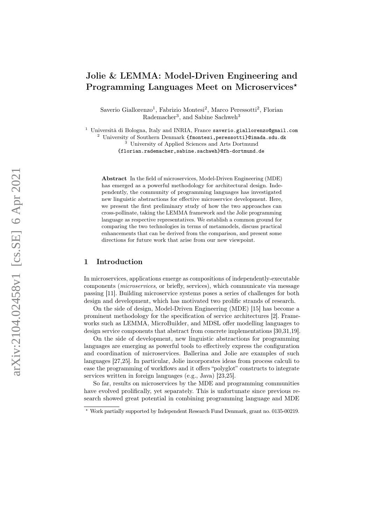# Jolie & LEMMA: Model-Driven Engineering and Programming Languages Meet on Microservices\*

Saverio Giallorenzo<sup>1</sup>, Fabrizio Montesi<sup>2</sup>, Marco Peressotti<sup>2</sup>, Florian Rademacher<sup>3</sup>, and Sabine Sachweh<sup>3</sup>

 $^{\rm 1}$ Università di Bologna, Italy and INRIA, France saverio.giallorenzo@gmail.com

<sup>2</sup> University of Southern Denmark {fmontesi,peressotti}@imada.sdu.dk <sup>3</sup> University of Applied Sciences and Arts Dortmund

{florian.rademacher,sabine.sachweh}@fh-dortmund.de

Abstract In the field of microservices, Model-Driven Engineering (MDE) has emerged as a powerful methodology for architectural design. Independently, the community of programming languages has investigated new linguistic abstractions for effective microservice development. Here, we present the first preliminary study of how the two approaches can cross-pollinate, taking the LEMMA framework and the Jolie programming language as respective representatives. We establish a common ground for comparing the two technologies in terms of metamodels, discuss practical enhancements that can be derived from the comparison, and present some directions for future work that arise from our new viewpoint.

## 1 Introduction

In microservices, applications emerge as compositions of independently-executable components (microservices, or briefly, services), which communicate via message passing [\[11\]](#page-6-0). Building microservice systems poses a series of challenges for both design and development, which has motivated two prolific strands of research.

On the side of design, Model-Driven Engineering (MDE) [\[15\]](#page-6-1) has become a prominent methodology for the specification of service architectures [ [2\]](#page-6-2). Frameworks such as LEMMA, MicroBuilder, and MDSL offer modelling languages to design service components that abstract from concrete implementations [\[30](#page-7-0)[,31](#page-7-1)[,19\]](#page-7-2).

On the side of development, new linguistic abstractions for programming languages are emerging as powerful tools to effectively express the configuration and coordination of microservices. Ballerina and Jolie are examples of such languages [\[27](#page-7-3) [,25\]](#page-7-4). In particular, Jolie incorporates ideas from process calculi to ease the programming of workflows and it offers "polyglot" constructs to integrate services written in foreign languages (e.g., Java) [\[23,](#page-7-5)[25\]](#page-7-4).

So far, results on microservices by the MDE and programming communities have evolved prolifically, yet separately. This is unfortunate since previous research showed great potential in combining programming language and MDE

<sup>?</sup> Work partially supported by Independent Research Fund Denmark, grant no. 0135-00219.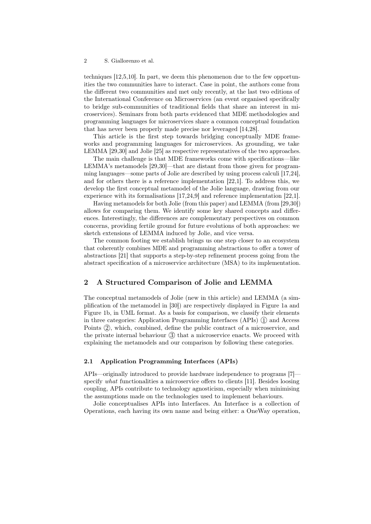#### 2 S. Giallorenzo et al.

techniques [\[12,](#page-6-3)[5,](#page-6-4)[10\]](#page-6-5). In part, we deem this phenomenon due to the few opportunities the two communities have to interact. Case in point, the authors come from the different two communities and met only recently, at the last two editions of the International Conference on Microservices (an event organised specifically to bridge sub-communities of traditional fields that share an interest in microservices). Seminars from both parts evidenced that MDE methodologies and programming languages for microservices share a common conceptual foundation that has never been properly made precise nor leveraged [\[14,](#page-6-6)[28\]](#page-7-6).

This article is the first step towards bridging conceptually MDE frameworks and programming languages for microservices. As grounding, we take LEMMA [\[29](#page-7-7)[,30\]](#page-7-0) and Jolie [\[25\]](#page-7-4) as respective representatives of the two approaches.

The main challenge is that MDE frameworks come with specifications—like LEMMA's metamodels [\[29](#page-7-7)[,30\]](#page-7-0)—that are distant from those given for programming languages—some parts of Jolie are described by using process calculi [\[17,](#page-6-7)[24\]](#page-7-8), and for others there is a reference implementation [\[22](#page-7-9)[,1\]](#page-6-8). To address this, we develop the first conceptual metamodel of the Jolie language, drawing from our experience with its formalisations [\[17,](#page-6-7)[24,](#page-7-8)[9\]](#page-6-9) and reference implementation [\[22,](#page-7-9)[1\]](#page-6-8).

Having metamodels for both Jolie (from this paper) and LEMMA (from [\[29](#page-7-7)[,30\]](#page-7-0)) allows for comparing them. We identify some key shared concepts and differences. Interestingly, the differences are complementary perspectives on common concerns, providing fertile ground for future evolutions of both approaches: we sketch extensions of LEMMA induced by Jolie, and vice versa.

The common footing we establish brings us one step closer to an ecosystem that coherently combines MDE and programming abstractions to offer a tower of abstractions [\[21\]](#page-7-10) that supports a step-by-step refinement process going from the abstract specification of a microservice architecture (MSA) to its implementation.

# 2 A Structured Comparison of Jolie and LEMMA

The conceptual metamodels of Jolie (new in this article) and LEMMA (a simplification of the metamodel in [\[30\]](#page-7-0)) are respectively displayed in [Figure 1a](#page-2-0) and [Figure 1b,](#page-2-0) in UML format. As a basis for comparison, we classify their elements in three categories: [Application Programming Interfaces \(APIs\)](#page-1-0)  $(1)$  and [Access](#page-3-0) [Points](#page-3-0) (2), which, combined, define the public contract of a microservice, and the private internal [behaviour](#page-4-0)  $\Im$  that a microservice enacts. We proceed with explaining the metamodels and our comparison by following these categories.

#### <span id="page-1-0"></span>2.1 Application Programming Interfaces (APIs)

APIs—originally introduced to provide hardware independence to programs [\[7\]](#page-6-10) specify what functionalities a microservice offers to clients [\[11\]](#page-6-0). Besides loosing coupling, APIs contribute to technology agnosticism, especially when minimising the assumptions made on the technologies used to implement behaviours.

Jolie conceptualises APIs into Interfaces. An Interface is a collection of Operations, each having its own name and being either: a OneWay operation,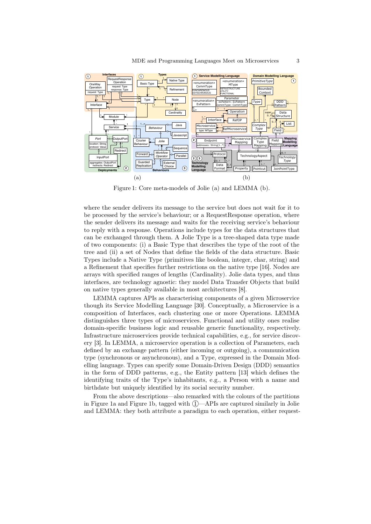<span id="page-2-0"></span>

Figure 1: Core meta-models of Jolie (a) and LEMMA (b).

where the sender delivers its message to the service but does not wait for it to be processed by the service's behaviour; or a RequestResponse operation, where the sender delivers its message and waits for the receiving service's behaviour to reply with a response. Operations include types for the data structures that can be exchanged through them. A Jolie Type is a tree-shaped data type made of two components: (i) a Basic Type that describes the type of the root of the tree and (ii) a set of Nodes that define the fields of the data structure. Basic Types include a Native Type (primitives like boolean, integer, char, string) and a Refinement that specifies further restrictions on the native type [\[16\]](#page-6-11). Nodes are arrays with specified ranges of lengths (Cardinality). Jolie data types, and thus interfaces, are technology agnostic: they model Data Transfer Objects that build on native types generally available in most architectures [\[8\]](#page-6-12).

LEMMA captures APIs as characterising components of a given Microservice though its Service Modelling Language [\[30\]](#page-7-0). Conceptually, a Microservice is a composition of Interfaces, each clustering one or more Operations. LEMMA distinguishes three types of microservices. Functional and utility ones realise domain-specific business logic and reusable generic functionality, respectively. Infrastructure microservices provide technical capabilities, e.g., for service discovery [\[3\]](#page-6-13). In LEMMA, a microservice operation is a collection of Parameters, each defined by an exchange pattern (either incoming or outgoing), a communication type (synchronous or asynchronous), and a Type, expressed in the Domain Modelling language. Types can specify some Domain-Driven Design (DDD) semantics in the form of DDD patterns, e.g., the Entity pattern [\[13\]](#page-6-14) which defines the identifying traits of the Type's inhabitants, e.g., a Person with a name and birthdate but uniquely identified by its social security number.

From the above descriptions—also remarked with the colours of the partitions in [Figure 1a](#page-2-0) and [Figure 1b,](#page-2-0) tagged with  $(1)$ —APIs are captured similarly in Jolie and LEMMA: they both attribute a paradigm to each operation, either request-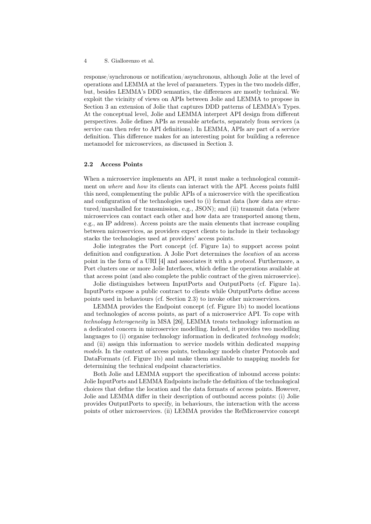#### 4 S. Giallorenzo et al.

response/synchronous or notification/asynchronous, although Jolie at the level of operations and LEMMA at the level of parameters. Types in the two models differ, but, besides LEMMA's DDD semantics, the differences are mostly technical. We exploit the vicinity of views on APIs between Jolie and LEMMA to propose in [Section 3](#page-4-1) an extension of Jolie that captures DDD patterns of LEMMA's Types. At the conceptual level, Jolie and LEMMA interpret API design from different perspectives. Jolie defines APIs as reusable artefacts, separately from services (a service can then refer to API definitions). In LEMMA, APIs are part of a service definition. This difference makes for an interesting point for building a reference metamodel for microservices, as discussed in [Section 3.](#page-4-1)

#### <span id="page-3-0"></span>2.2 Access Points

When a microservice implements an API, it must make a technological commitment on where and how its clients can interact with the API. Access points fulfil this need, complementing the public APIs of a microservice with the specification and configuration of the technologies used to (i) format data (how data are structured/marshalled for transmission, e.g., JSON); and (ii) transmit data (where microservices can contact each other and how data are transported among them, e.g., an IP address). Access points are the main elements that increase coupling between microservices, as providers expect clients to include in their technology stacks the technologies used at providers' access points.

Jolie integrates the Port concept (cf. [Figure 1a\)](#page-2-0) to support access point definition and configuration. A Jolie Port determines the location of an access point in the form of a URI [\[4\]](#page-6-15) and associates it with a protocol. Furthermore, a Port clusters one or more Jolie Interfaces, which define the operations available at that access point (and also complete the public contract of the given microservice).

Jolie distinguishes between InputPorts and OutputPorts (cf. [Figure 1a\)](#page-2-0). InputPorts expose a public contract to clients while OutputPorts define access points used in behaviours (cf. [Section 2.3\)](#page-4-0) to invoke other microservices.

LEMMA provides the Endpoint concept (cf. [Figure 1b\)](#page-2-0) to model locations and technologies of access points, as part of a microservice API. To cope with technology heterogeneity in MSA [\[26\]](#page-7-11), LEMMA treats technology information as a dedicated concern in microservice modelling. Indeed, it provides two modelling languages to (i) organise technology information in dedicated *technology models*; and (ii) assign this information to service models within dedicated mapping models. In the context of access points, technology models cluster Protocols and DataFormats (cf. [Figure 1b\)](#page-2-0) and make them available to mapping models for determining the technical endpoint characteristics.

Both Jolie and LEMMA support the specification of inbound access points: Jolie InputPorts and LEMMA Endpoints include the definition of the technological choices that define the location and the data formats of access points. However, Jolie and LEMMA differ in their description of outbound access points: (i) Jolie provides OutputPorts to specify, in behaviours, the interaction with the access points of other microservices. (ii) LEMMA provides the RefMicroservice concept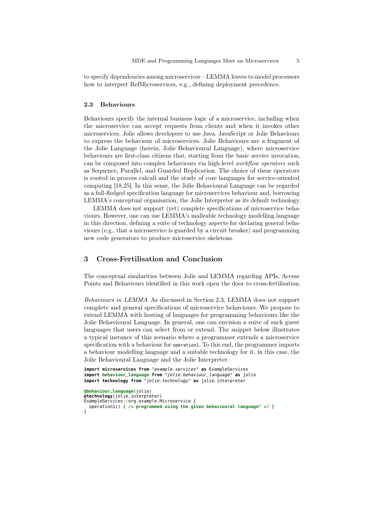to specify dependencies among microservices—LEMMA leaves to model processors how to interpret RefMicroservices, e.g., defining deployment precedence.

#### <span id="page-4-0"></span>2.3 Behaviours

Behaviours specify the internal business logic of a microservice, including when the microservice can accept requests from clients and when it invokes other microservices. Jolie allows developers to use Java, JavaScript or Jolie Behaviours to express the behaviour of microservices. Jolie Behaviours are a fragment of the Jolie Language (herein, Jolie Behavioural Language), where microservice behaviours are first-class citizens that, starting from the basic service invocation, can be composed into complex behaviours via high-level *workflow operators* such as Sequence, Parallel, and Guarded Replication. The choice of these operators is rooted in process calculi and the study of core languages for service-oriented computing [\[18,](#page-6-16)[25\]](#page-7-4). In this sense, the Jolie Behavioural Language can be regarded as a full-fledged specification language for microservices behaviour and, borrowing LEMMA's conceptual organisation, the Jolie Interpreter as its default technology.

LEMMA does not support (yet) complete specifications of microservice behaviours. However, one can use LEMMA's malleable technology modelling language in this direction, defining a suite of technology aspects for declaring general behaviours (e.g., that a microservice is guarded by a circuit breaker) and programming new code generators to produce microservice skeletons.

## <span id="page-4-1"></span>3 Cross-Fertilisation and Conclusion

The conceptual similarities between Jolie and LEMMA regarding APIs, Access Points and Behaviours identified in this work open the door to cross-fertilisation.

Behaviours in LEMMA As discussed in [Section 2.3,](#page-4-0) LEMMA does not support complete and general specifications of microservice behaviours. We propose to extend LEMMA with hosting of languages for programming behaviours like the Jolie Behavioural Language. In general, one can envision a suite of such guest languages that users can select from or extend. The snippet below illustrates a typical instance of this scenario where a programmer extends a microservice specification with a behaviour for operation1. To this end, the programmer imports a behaviour modelling language and a suitable technology for it, in this case, the Jolie Behavioural Language and the Jolie Interpreter.

```
import microservices from "example.services" as ExampleServices
import behaviour_language from "jolie.behaviour_language" as jolie
import technology from "jolie.technology" as jolie_interpreter
```

```
@behaviour_language(jolie)
@technology(jolie_interpreter)
ExampleServices::org.example.Microservice {
  operation1() { /* programmed using the given behavioural language" */ }
}
```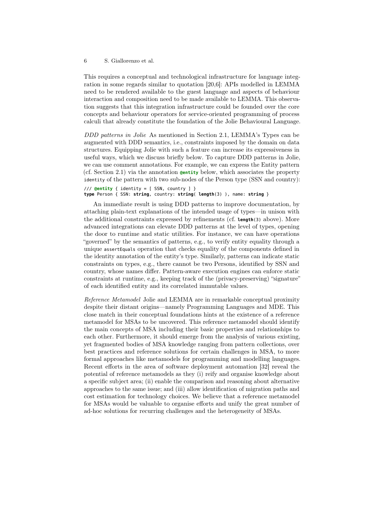#### 6 S. Giallorenzo et al.

This requires a conceptual and technological infrastructure for language integration in some regards similar to quotation [\[20](#page-7-12)[,6\]](#page-6-17): APIs modelled in LEMMA need to be rendered available to the guest language and aspects of behaviour interaction and composition need to be made available to LEMMA. This observation suggests that this integration infrastructure could be founded over the core concepts and behaviour operators for service-oriented programming of process calculi that already constitute the foundation of the Jolie Behavioural Language.

DDD patterns in Jolie As mentioned in [Section 2.1,](#page-1-0) LEMMA's Types can be augmented with DDD semantics, i.e., constraints imposed by the domain on data structures. Equipping Jolie with such a feature can increase its expressiveness in useful ways, which we discuss briefly below. To capture DDD patterns in Jolie, we can use comment annotations. For example, we can express the Entity pattern (cf. [Section 2.1\)](#page-1-0) via the annotation **@entity** below, which associates the property identity of the pattern with two sub-nodes of the Person type (SSN and country):

/// **@entity** { identity = [ SSN, country ] } **type** Person { SSN: **string**, country: **string**( **length**(3) ), name: **string** }

An immediate result is using DDD patterns to improve documentation, by attaching plain-text explanations of the intended usage of types—in unison with the additional constraints expressed by refinements (cf. **length**(3) above). More advanced integrations can elevate DDD patterns at the level of types, opening the door to runtime and static utilities. For instance, we can have operations "governed" by the semantics of patterns, e.g., to verify entity equality through a unique assertEquals operation that checks equality of the components defined in the identity annotation of the entity's type. Similarly, patterns can indicate static constraints on types, e.g., there cannot be two Persons, identified by SSN and country, whose names differ. Pattern-aware execution engines can enforce static constraints at runtime, e.g., keeping track of the (privacy-preserving) "signature" of each identified entity and its correlated immutable values.

Reference Metamodel Jolie and LEMMA are in remarkable conceptual proximity despite their distant origins—namely Programming Languages and MDE. This close match in their conceptual foundations hints at the existence of a reference metamodel for MSAs to be uncovered. This reference metamodel should identify the main concepts of MSA including their basic properties and relationships to each other. Furthermore, it should emerge from the analysis of various existing, yet fragmented bodies of MSA knowledge ranging from pattern collections, over best practices and reference solutions for certain challenges in MSA, to more formal approaches like metamodels for programming and modelling languages. Recent efforts in the area of software deployment automation [\[32\]](#page-7-13) reveal the potential of reference metamodels as they (i) reify and organise knowledge about a specific subject area; (ii) enable the comparison and reasoning about alternative approaches to the same issue; and (iii) allow identification of migration paths and cost estimation for technology choices. We believe that a reference metamodel for MSAs would be valuable to organise efforts and unify the great number of ad-hoc solutions for recurring challenges and the heterogeneity of MSAs.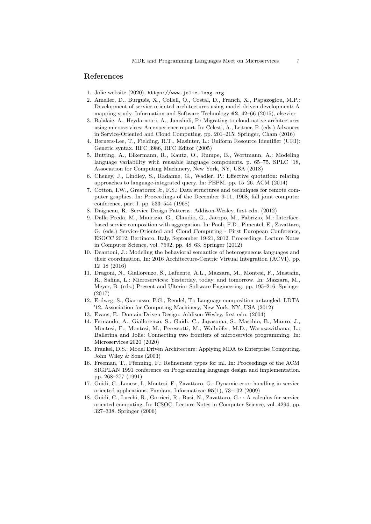#### References

- <span id="page-6-8"></span>1. Jolie website (2020), <https://www.jolie-lang.org>
- <span id="page-6-2"></span>2. Ameller, D., Burgués, X., Collell, O., Costal, D., Franch, X., Papazoglou, M.P.: Development of service-oriented architectures using model-driven development: A mapping study. Information and Software Technology 62, 42–66 (2015), elsevier
- <span id="page-6-13"></span>3. Balalaie, A., Heydarnoori, A., Jamshidi, P.: Migrating to cloud-native architectures using microservices: An experience report. In: Celesti, A., Leitner, P. (eds.) Advances in Service-Oriented and Cloud Computing. pp. 201–215. Springer, Cham (2016)
- <span id="page-6-15"></span>4. Berners-Lee, T., Fielding, R.T., Masinter, L.: Uniform Resource Identifier (URI): Generic syntax. RFC 3986, RFC Editor (2005)
- <span id="page-6-4"></span>5. Butting, A., Eikermann, R., Kautz, O., Rumpe, B., Wortmann, A.: Modeling language variability with reusable language components. p. 65–75. SPLC '18, Association for Computing Machinery, New York, NY, USA (2018)
- <span id="page-6-17"></span>6. Cheney, J., Lindley, S., Radanne, G., Wadler, P.: Effective quotation: relating approaches to language-integrated query. In: PEPM. pp. 15–26. ACM (2014)
- <span id="page-6-10"></span>7. Cotton, I.W., Greatorex Jr, F.S.: Data structures and techniques for remote computer graphics. In: Proceedings of the December 9-11, 1968, fall joint computer conference, part I. pp. 533–544 (1968)
- <span id="page-6-12"></span>8. Daigneau, R.: Service Design Patterns. Addison-Wesley, first edn. (2012)
- <span id="page-6-9"></span>9. Dalla Preda, M., Maurizio, G., Claudio, G., Jacopo, M., Fabrizio, M.: Interfacebased service composition with aggregation. In: Paoli, F.D., Pimentel, E., Zavattaro, G. (eds.) Service-Oriented and Cloud Computing - First European Conference, ESOCC 2012, Bertinoro, Italy, September 19-21, 2012. Proceedings. Lecture Notes in Computer Science, vol. 7592, pp. 48–63. Springer (2012)
- <span id="page-6-5"></span>10. Deantoni, J.: Modeling the behavioral semantics of heterogeneous languages and their coordination. In: 2016 Architecture-Centric Virtual Integration (ACVI). pp. 12–18 (2016)
- <span id="page-6-0"></span>11. Dragoni, N., Giallorenzo, S., Lafuente, A.L., Mazzara, M., Montesi, F., Mustafin, R., Safina, L.: Microservices: Yesterday, today, and tomorrow. In: Mazzara, M., Meyer, B. (eds.) Present and Ulterior Software Engineering, pp. 195–216. Springer (2017)
- <span id="page-6-3"></span>12. Erdweg, S., Giarrusso, P.G., Rendel, T.: Language composition untangled. LDTA '12, Association for Computing Machinery, New York, NY, USA (2012)
- <span id="page-6-14"></span>13. Evans, E.: Domain-Driven Design. Addison-Wesley, first edn. (2004)
- <span id="page-6-6"></span>14. Fernando, A., Giallorenzo, S., Guidi, C., Jayasoma, S., Maschio, B., Mauro, J., Montesi, F., Montesi, M., Peressotti, M., Wallnöfer, M.D., Warusawithana, L.: Ballerina and Jolie: Connecting two frontiers of microservice programming. In: Microservices 2020 (2020)
- <span id="page-6-1"></span>15. Frankel, D.S.: Model Driven Architecture: Applying MDA to Enterprise Computing. John Wiley & Sons (2003)
- <span id="page-6-11"></span>16. Freeman, T., Pfenning, F.: Refinement types for ml. In: Proceedings of the ACM SIGPLAN 1991 conference on Programming language design and implementation. pp. 268–277 (1991)
- <span id="page-6-7"></span>17. Guidi, C., Lanese, I., Montesi, F., Zavattaro, G.: Dynamic error handling in service oriented applications. Fundam. Informaticae 95(1), 73–102 (2009)
- <span id="page-6-16"></span>18. Guidi, C., Lucchi, R., Gorrieri, R., Busi, N., Zavattaro, G.: : A calculus for service oriented computing. In: ICSOC. Lecture Notes in Computer Science, vol. 4294, pp. 327–338. Springer (2006)